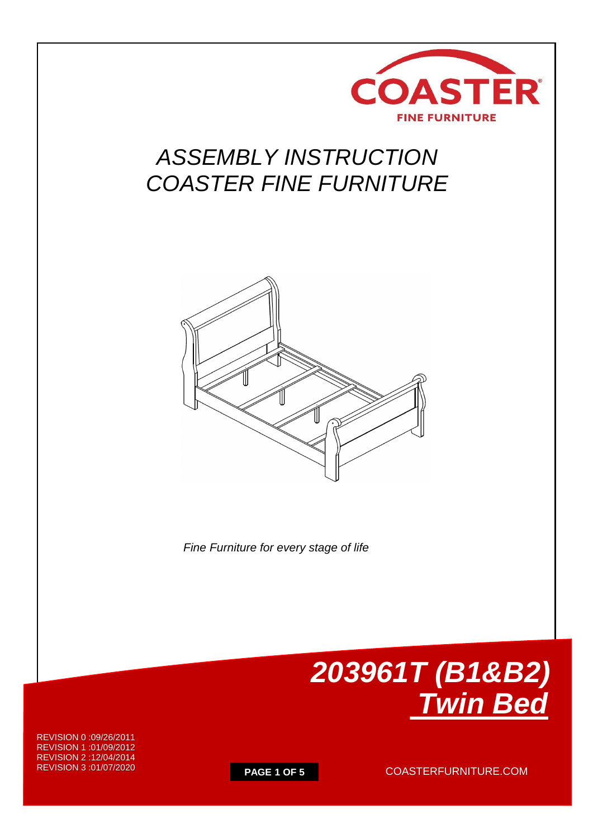

# *ASSEMBLY INSTRUCTION COASTER FINE FURNITURE*



 *Fine Furniture for every stage of life*



REVISION 0 :09/26/2011 REVISION 1 :01/09/2012 REVISION 2 :12/04/2014 REVISION 3 :01/07/2020

**PAGE 1 OF 5** COASTERFURNITURE.COM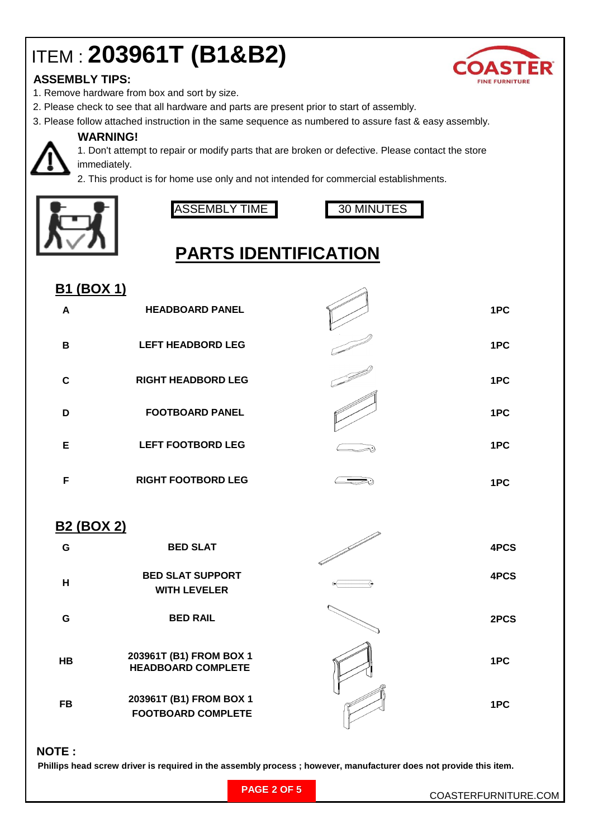# ITEM : **203961T (B1&B2)**

### **ASSEMBLY TIPS:**

- 1. Remove hardware from box and sort by size.
- 2. Please check to see that all hardware and parts are present prior to start of assembly.
- 3. Please follow attached instruction in the same sequence as numbered to assure fast & easy assembly.



#### **WARNING!**

1. Don't attempt to repair or modify parts that are broken or defective. Please contact the store immediately.

2. This product is for home use only and not intended for commercial establishments.



ASSEMBLY TIME 30 MINUTES

**WITH LEVELER**

**FOOTBOARD COMPLETE**



## **PARTS IDENTIFICATION**

| <b>B1 (BOX 1)</b> |                           |      |
|-------------------|---------------------------|------|
| A                 | <b>HEADBOARD PANEL</b>    | 1PC  |
| B                 | <b>LEFT HEADBORD LEG</b>  | 1PC  |
| $\mathbf c$       | <b>RIGHT HEADBORD LEG</b> | 1PC  |
| D                 | <b>FOOTBOARD PANEL</b>    | 1PC  |
| E                 | <b>LEFT FOOTBORD LEG</b>  | 1PC  |
| F                 | <b>RIGHT FOOTBORD LEG</b> | 1PC  |
| <b>B2 (BOX 2)</b> |                           |      |
| G                 | <b>BED SLAT</b>           | 4PCS |
| Н                 | <b>BED SLAT SUPPORT</b>   | 4PCS |

**G 2PCS 1PC 1PC BED RAIL HB 203961T (B1) FROM BOX 1 FB 203961T (B1) FROM BOX 1 HEADBOARD COMPLETE**

 **NOTE :**

 **Phillips head screw driver is required in the assembly process ; however, manufacturer does not provide this item.**

| <b>FINE FURNITURE</b> |
|-----------------------|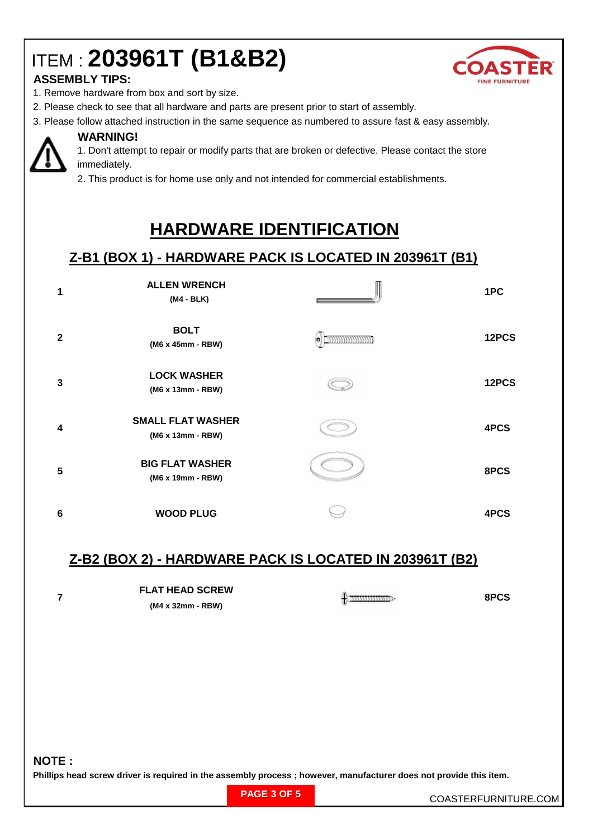# ITEM : **203961T (B1&B2)**



#### **ASSEMBLY TIPS:**

- 1. Remove hardware from box and sort by size.
- 2. Please check to see that all hardware and parts are present prior to start of assembly.
- 3. Please follow attached instruction in the same sequence as numbered to assure fast & easy assembly.



#### **WARNING!**

1. Don't attempt to repair or modify parts that are broken or defective. Please contact the store immediately.

2. This product is for home use only and not intended for commercial establishments.

## **HARDWARE IDENTIFICATION**

### **Z-B1 (BOX 1) - HARDWARE PACK IS LOCATED IN 203961T (B1)**

| 1            | <b>ALLEN WRENCH</b><br>(M4 - BLK)             | 1PC   |
|--------------|-----------------------------------------------|-------|
| $\mathbf{2}$ | <b>BOLT</b><br>(M6 x 45mm - RBW)              | 12PCS |
| 3            | <b>LOCK WASHER</b><br>(M6 x 13mm - RBW)       | 12PCS |
| 4            | <b>SMALL FLAT WASHER</b><br>(M6 x 13mm - RBW) | 4PCS  |
| 5            | <b>BIG FLAT WASHER</b><br>(M6 x 19mm - RBW)   | 8PCS  |
| 6            | <b>WOOD PLUG</b>                              | 4PCS  |

### **Z-B2 (BOX 2) - HARDWARE PACK IS LOCATED IN 203961T (B2)**

| <b>FLAT HEAD SCREW</b> |  | 8PCS |
|------------------------|--|------|
| (M4 x 32mm - RBW)      |  |      |

#### **NOTE :**

**7**

**Phillips head screw driver is required in the assembly process ; however, manufacturer does not provide this item.**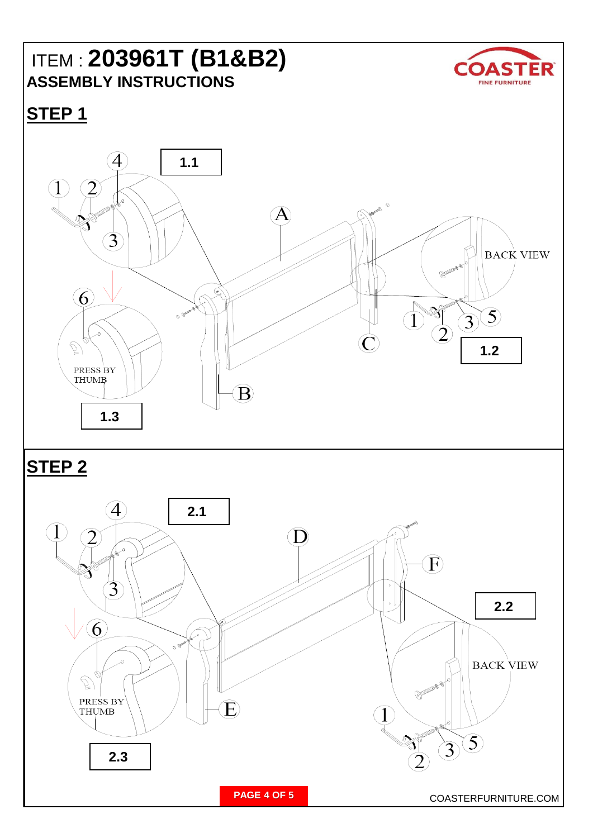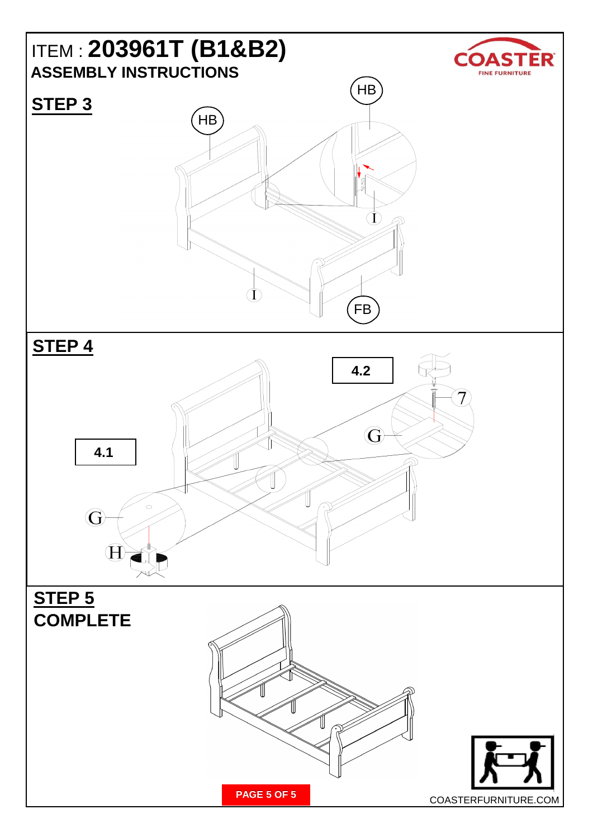